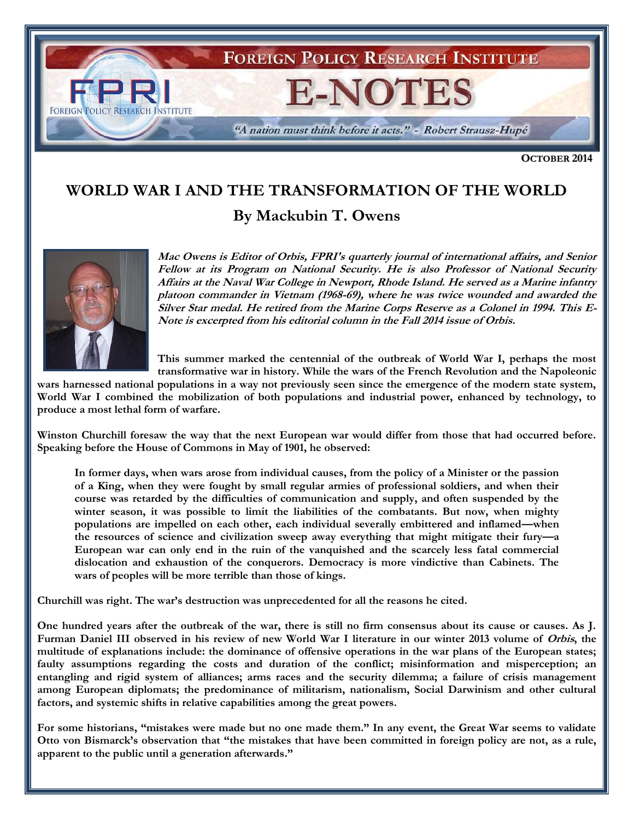

**OCTOBER 2014**

## **WORLD WAR I AND THE TRANSFORMATION OF THE WORLD**

**By Mackubin T. Owens**



**Mac Owens is Editor of Orbis, FPRI's quarterly journal of international affairs, and Senior Fellow at its Program on National Security. He is also Professor of National Security Affairs at the Naval War College in Newport, Rhode Island. He served as a Marine infantry platoon commander in Vietnam (1968-69), where he was twice wounded and awarded the Silver Star medal. He retired from the Marine Corps Reserve as a Colonel in 1994. This E-Note is excerpted from his editorial column in the Fall 2014 issue of Orbis.**

**This summer marked the centennial of the outbreak of World War I, perhaps the most transformative war in history. While the wars of the French Revolution and the Napoleonic** 

**wars harnessed national populations in a way not previously seen since the emergence of the modern state system, World War I combined the mobilization of both populations and industrial power, enhanced by technology, to produce a most lethal form of warfare.** 

**Winston Churchill foresaw the way that the next European war would differ from those that had occurred before. Speaking before the House of Commons in May of 1901, he observed:** 

**In former days, when wars arose from individual causes, from the policy of a Minister or the passion of a King, when they were fought by small regular armies of professional soldiers, and when their course was retarded by the difficulties of communication and supply, and often suspended by the winter season, it was possible to limit the liabilities of the combatants. But now, when mighty populations are impelled on each other, each individual severally embittered and inflamed—when the resources of science and civilization sweep away everything that might mitigate their fury—a European war can only end in the ruin of the vanquished and the scarcely less fatal commercial dislocation and exhaustion of the conquerors. Democracy is more vindictive than Cabinets. The wars of peoples will be more terrible than those of kings.**

**Churchill was right. The war's destruction was unprecedented for all the reasons he cited.** 

**One hundred years after the outbreak of the war, there is still no firm consensus about its cause or causes. As J.**  Furman Daniel III observed in his review of new World War I literature in our winter 2013 volume of *Orbis*, the **multitude of explanations include: the dominance of offensive operations in the war plans of the European states; faulty assumptions regarding the costs and duration of the conflict; misinformation and misperception; an entangling and rigid system of alliances; arms races and the security dilemma; a failure of crisis management among European diplomats; the predominance of militarism, nationalism, Social Darwinism and other cultural factors, and systemic shifts in relative capabilities among the great powers.** 

**For some historians, "mistakes were made but no one made them." In any event, the Great War seems to validate Otto von Bismarck's observation that "the mistakes that have been committed in foreign policy are not, as a rule, apparent to the public until a generation afterwards."**